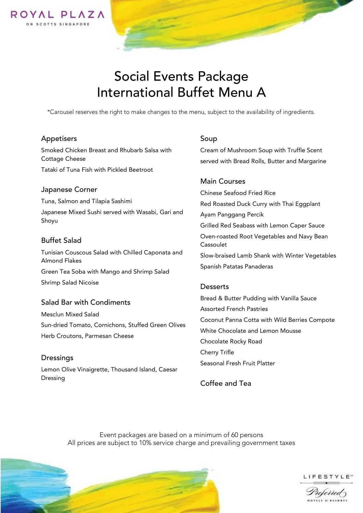

# Social Events Package International Buffet Menu A

\*Carousel reserves the right to make changes to the menu, subject to the availability of ingredients.

## Appetisers

Smoked Chicken Breast and Rhubarb Salsa with Cottage Cheese

Tataki of Tuna Fish with Pickled Beetroot

#### Japanese Corner

Tuna, Salmon and Tilapia Sashimi Japanese Mixed Sushi served with Wasabi, Gari and Shoyu

#### Buffet Salad

Tunisian Couscous Salad with Chilled Caponata and Almond Flakes Green Tea Soba with Mango and Shrimp Salad Shrimp Salad Nicoise

## Salad Bar with Condiments

Mesclun Mixed Salad Sun-dried Tomato, Cornichons, Stuffed Green Olives Herb Croutons, Parmesan Cheese

Dressings Lemon Olive Vinaigrette, Thousand Island, Caesar Dressing

#### Soup

Cream of Mushroom Soup with Truffle Scent served with Bread Rolls, Butter and Margarine

#### Main Courses

Chinese Seafood Fried Rice Red Roasted Duck Curry with Thai Eggplant Ayam Panggang Percik Grilled Red Seabass with Lemon Caper Sauce Oven-roasted Root Vegetables and Navy Bean Cassoulet Slow-braised Lamb Shank with Winter Vegetables Spanish Patatas Panaderas

## **Desserts**

Bread & Butter Pudding with Vanilla Sauce Assorted French Pastries Coconut Panna Cotta with Wild Berries Compote White Chocolate and Lemon Mousse Chocolate Rocky Road Cherry Trifle Seasonal Fresh Fruit Platter

Coffee and Tea

 Event packages are based on a minimum of 60 persons All prices are subject to 10% service charge and prevailing government taxes





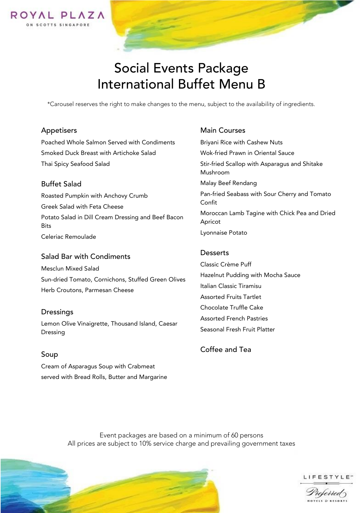

# Social Events Package International Buffet Menu B

\*Carousel reserves the right to make changes to the menu, subject to the availability of ingredients.

## Appetisers

Poached Whole Salmon Served with Condiments Smoked Duck Breast with Artichoke Salad Thai Spicy Seafood Salad

## Buffet Salad

Roasted Pumpkin with Anchovy Crumb Greek Salad with Feta Cheese Potato Salad in Dill Cream Dressing and Beef Bacon **Bits** Celeriac Remoulade

## Salad Bar with Condiments

Mesclun Mixed Salad Sun-dried Tomato, Cornichons, Stuffed Green Olives Herb Croutons, Parmesan Cheese

## **Dressings**

Lemon Olive Vinaigrette, Thousand Island, Caesar Dressing

Soup Cream of Asparagus Soup with Crabmeat served with Bread Rolls, Butter and Margarine

## Main Courses

Briyani Rice with Cashew Nuts Wok-fried Prawn in Oriental Sauce Stir-fried Scallop with Asparagus and Shitake Mushroom Malay Beef Rendang Pan-fried Seabass with Sour Cherry and Tomato Confit Moroccan Lamb Tagine with Chick Pea and Dried Apricot Lyonnaise Potato

## **Desserts**

Classic Crème Puff Hazelnut Pudding with Mocha Sauce Italian Classic Tiramisu Assorted Fruits Tartlet Chocolate Truffle Cake Assorted French Pastries Seasonal Fresh Fruit Platter

Coffee and Tea

 Event packages are based on a minimum of 60 persons All prices are subject to 10% service charge and prevailing government taxes





Properrea